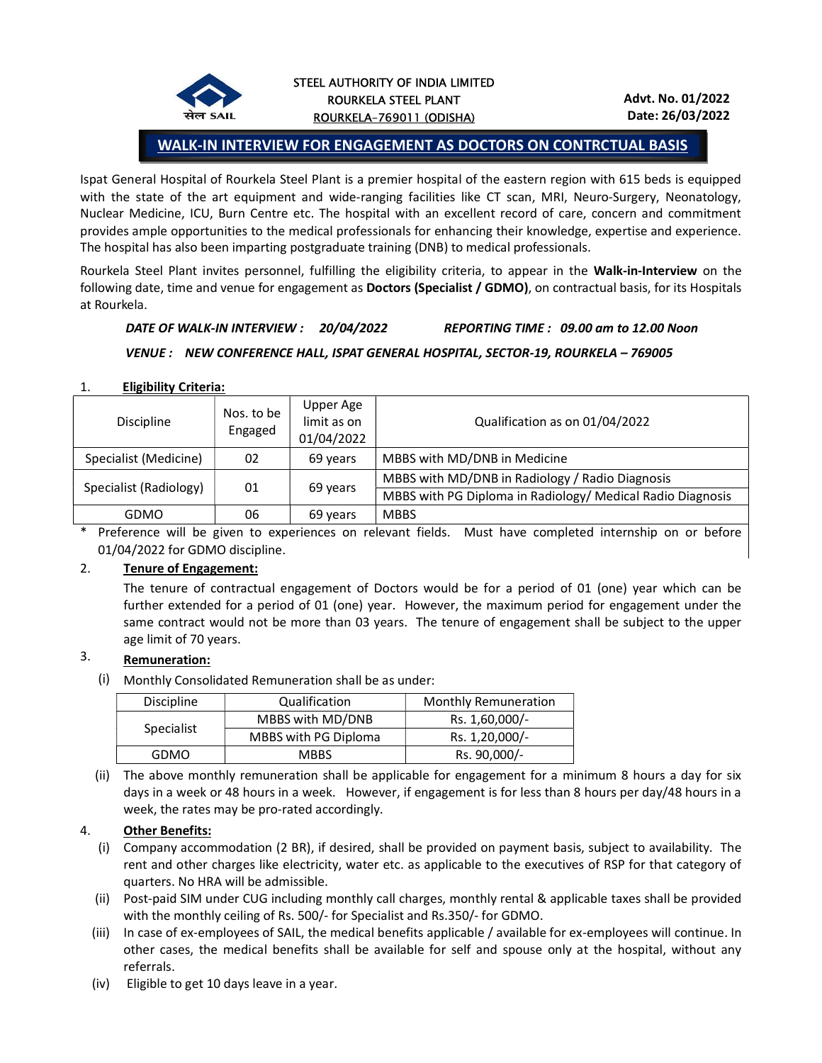

## WALK-IN INTERVIEW FOR ENGAGEMENT AS DOCTORS ON CONTRCTUAL BASIS

Ispat General Hospital of Rourkela Steel Plant is a premier hospital of the eastern region with 615 beds is equipped with the state of the art equipment and wide-ranging facilities like CT scan, MRI, Neuro-Surgery, Neonatology, Nuclear Medicine, ICU, Burn Centre etc. The hospital with an excellent record of care, concern and commitment provides ample opportunities to the medical professionals for enhancing their knowledge, expertise and experience. The hospital has also been imparting postgraduate training (DNB) to medical professionals.

Rourkela Steel Plant invites personnel, fulfilling the eligibility criteria, to appear in the Walk-in-Interview on the following date, time and venue for engagement as Doctors (Specialist / GDMO), on contractual basis, for its Hospitals at Rourkela.

## DATE OF WALK-IN INTERVIEW : 20/04/2022 REPORTING TIME : 09.00 am to 12.00 Noon

#### VENUE : NEW CONFERENCE HALL, ISPAT GENERAL HOSPITAL, SECTOR-19, ROURKELA – 769005

#### 1. Eligibility Criteria:

| <b>Discipline</b>      | Nos. to be<br>Engaged | Upper Age<br>limit as on<br>01/04/2022 | Qualification as on 01/04/2022                             |  |  |
|------------------------|-----------------------|----------------------------------------|------------------------------------------------------------|--|--|
| Specialist (Medicine)  | 02                    | 69 years                               | MBBS with MD/DNB in Medicine                               |  |  |
| Specialist (Radiology) | 01                    | 69 years                               | MBBS with MD/DNB in Radiology / Radio Diagnosis            |  |  |
|                        |                       |                                        | MBBS with PG Diploma in Radiology/ Medical Radio Diagnosis |  |  |
| <b>GDMO</b>            | 06                    | 69 years                               | <b>MBBS</b>                                                |  |  |

\* Preference will be given to experiences on relevant fields. Must have completed internship on or before 01/04/2022 for GDMO discipline.

## 2. Tenure of Engagement:

The tenure of contractual engagement of Doctors would be for a period of 01 (one) year which can be further extended for a period of 01 (one) year. However, the maximum period for engagement under the same contract would not be more than 03 years. The tenure of engagement shall be subject to the upper age limit of 70 years.

# 3. Remuneration:

(i) Monthly Consolidated Remuneration shall be as under:

| <b>Discipline</b> | Qualification               | <b>Monthly Remuneration</b> |  |  |
|-------------------|-----------------------------|-----------------------------|--|--|
| Specialist        | MBBS with MD/DNB            | Rs. 1,60,000/-              |  |  |
|                   | <b>MBBS with PG Diploma</b> | Rs. 1,20,000/-              |  |  |
| GDMO              | <b>MBBS</b>                 | Rs. 90,000/-                |  |  |

(ii) The above monthly remuneration shall be applicable for engagement for a minimum 8 hours a day for six days in a week or 48 hours in a week. However, if engagement is for less than 8 hours per day/48 hours in a week, the rates may be pro-rated accordingly.

## 4. Other Benefits:

- (i) Company accommodation (2 BR), if desired, shall be provided on payment basis, subject to availability. The rent and other charges like electricity, water etc. as applicable to the executives of RSP for that category of quarters. No HRA will be admissible.
- (ii) Post-paid SIM under CUG including monthly call charges, monthly rental & applicable taxes shall be provided with the monthly ceiling of Rs. 500/- for Specialist and Rs.350/- for GDMO.
- (iii) In case of ex-employees of SAIL, the medical benefits applicable / available for ex-employees will continue. In other cases, the medical benefits shall be available for self and spouse only at the hospital, without any referrals.
- (iv) Eligible to get 10 days leave in a year.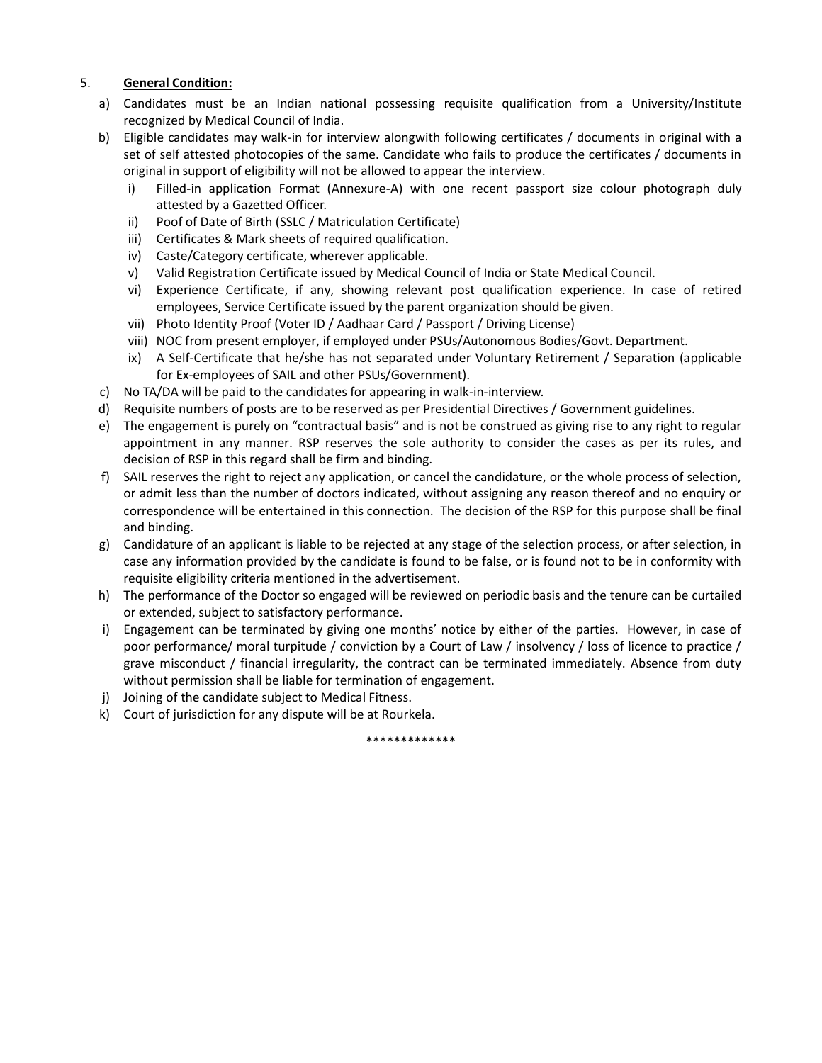## 5. General Condition:

- a) Candidates must be an Indian national possessing requisite qualification from a University/Institute recognized by Medical Council of India.
- b) Eligible candidates may walk-in for interview alongwith following certificates / documents in original with a set of self attested photocopies of the same. Candidate who fails to produce the certificates / documents in original in support of eligibility will not be allowed to appear the interview.
	- i) Filled-in application Format (Annexure-A) with one recent passport size colour photograph duly attested by a Gazetted Officer.
	- ii) Poof of Date of Birth (SSLC / Matriculation Certificate)
	- iii) Certificates & Mark sheets of required qualification.
	- iv) Caste/Category certificate, wherever applicable.
	- v) Valid Registration Certificate issued by Medical Council of India or State Medical Council.
	- vi) Experience Certificate, if any, showing relevant post qualification experience. In case of retired employees, Service Certificate issued by the parent organization should be given.
	- vii) Photo Identity Proof (Voter ID / Aadhaar Card / Passport / Driving License)
	- viii) NOC from present employer, if employed under PSUs/Autonomous Bodies/Govt. Department.
	- ix) A Self-Certificate that he/she has not separated under Voluntary Retirement / Separation (applicable for Ex-employees of SAIL and other PSUs/Government).
- c) No TA/DA will be paid to the candidates for appearing in walk-in-interview.
- d) Requisite numbers of posts are to be reserved as per Presidential Directives / Government guidelines.
- e) The engagement is purely on "contractual basis" and is not be construed as giving rise to any right to regular appointment in any manner. RSP reserves the sole authority to consider the cases as per its rules, and decision of RSP in this regard shall be firm and binding.
- f) SAIL reserves the right to reject any application, or cancel the candidature, or the whole process of selection, or admit less than the number of doctors indicated, without assigning any reason thereof and no enquiry or correspondence will be entertained in this connection. The decision of the RSP for this purpose shall be final and binding.
- g) Candidature of an applicant is liable to be rejected at any stage of the selection process, or after selection, in case any information provided by the candidate is found to be false, or is found not to be in conformity with requisite eligibility criteria mentioned in the advertisement.
- h) The performance of the Doctor so engaged will be reviewed on periodic basis and the tenure can be curtailed or extended, subject to satisfactory performance.
- i) Engagement can be terminated by giving one months' notice by either of the parties. However, in case of poor performance/ moral turpitude / conviction by a Court of Law / insolvency / loss of licence to practice / grave misconduct / financial irregularity, the contract can be terminated immediately. Absence from duty without permission shall be liable for termination of engagement.
- j) Joining of the candidate subject to Medical Fitness.
- k) Court of jurisdiction for any dispute will be at Rourkela.

\*\*\*\*\*\*\*\*\*\*\*\*\*